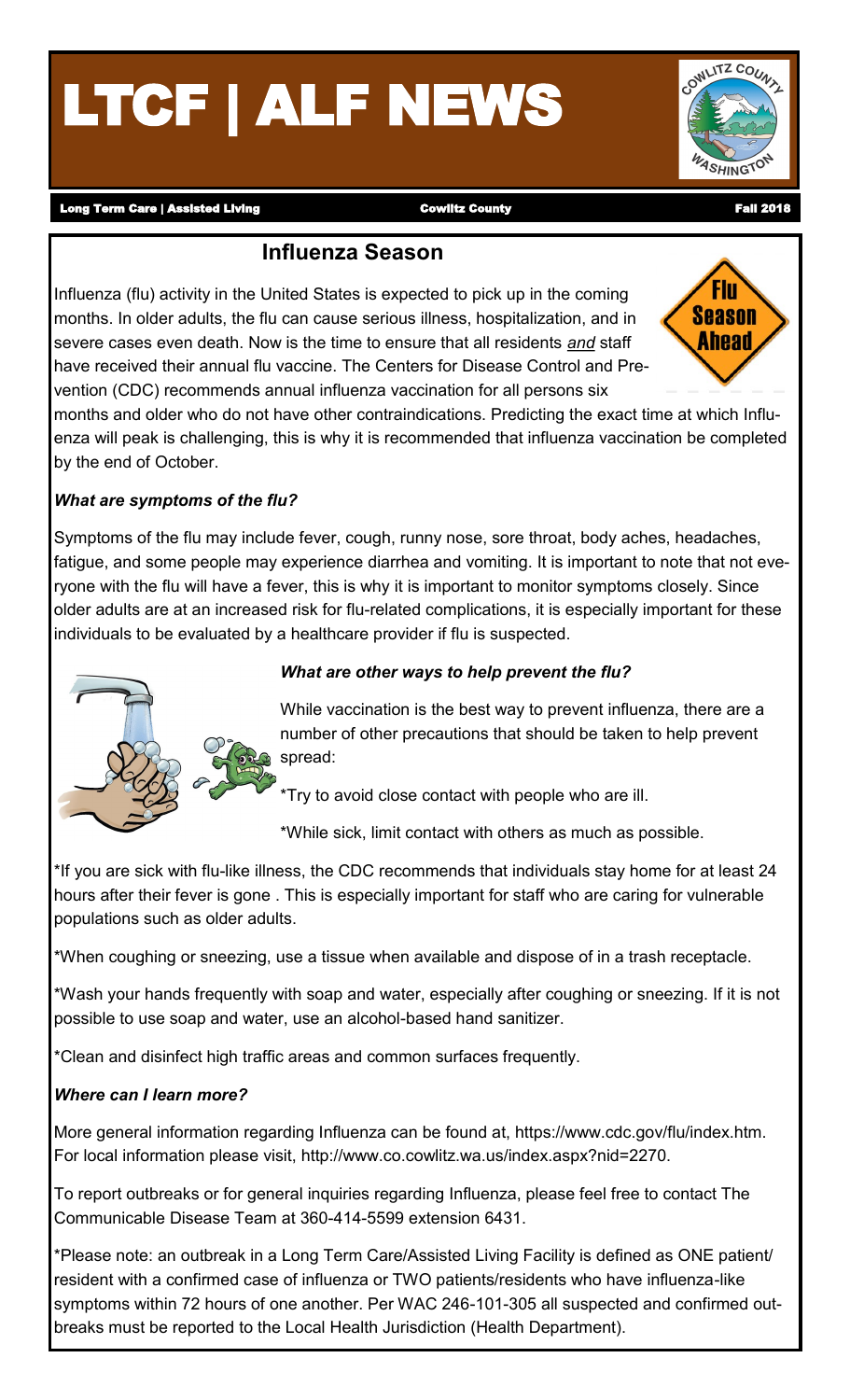# LTCF | ALF NEWS

**ASHINGTO** 

Long Term Care | Assisted Living **Cowlitz County** Cowlitz County County Fall 2018

## **Influenza Season**

Influenza (flu) activity in the United States is expected to pick up in the coming months. In older adults, the flu can cause serious illness, hospitalization, and in severe cases even death. Now is the time to ensure that all residents *and* staff have received their annual flu vaccine. The Centers for Disease Control and Prevention (CDC) recommends annual influenza vaccination for all persons six



months and older who do not have other contraindications. Predicting the exact time at which Influenza will peak is challenging, this is why it is recommended that influenza vaccination be completed by the end of October.

#### *What are symptoms of the flu?*

Symptoms of the flu may include fever, cough, runny nose, sore throat, body aches, headaches, fatigue, and some people may experience diarrhea and vomiting. It is important to note that not everyone with the flu will have a fever, this is why it is important to monitor symptoms closely. Since older adults are at an increased risk for flu-related complications, it is especially important for these individuals to be evaluated by a healthcare provider if flu is suspected.



#### *What are other ways to help prevent the flu?*

While vaccination is the best way to prevent influenza, there are a number of other precautions that should be taken to help prevent spread:

Try to avoid close contact with people who are ill.

\*While sick, limit contact with others as much as possible.

\*If you are sick with flu-like illness, the CDC recommends that individuals stay home for at least 24 hours after their fever is gone . This is especially important for staff who are caring for vulnerable populations such as older adults.

\*When coughing or sneezing, use a tissue when available and dispose of in a trash receptacle.

\*Wash your hands frequently with soap and water, especially after coughing or sneezing. If it is not possible to use soap and water, use an alcohol-based hand sanitizer.

\*Clean and disinfect high traffic areas and common surfaces frequently.

#### *Where can I learn more?*

More general information regarding Influenza can be found at, https://www.cdc.gov/flu/index.htm. For local information please visit, http://www.co.cowlitz.wa.us/index.aspx?nid=2270.

To report outbreaks or for general inquiries regarding Influenza, please feel free to contact The Communicable Disease Team at 360-414-5599 extension 6431.

\*Please note: an outbreak in a Long Term Care/Assisted Living Facility is defined as ONE patient/ resident with a confirmed case of influenza or TWO patients/residents who have influenza-like symptoms within 72 hours of one another. Per WAC 246-101-305 all suspected and confirmed outbreaks must be reported to the Local Health Jurisdiction (Health Department).